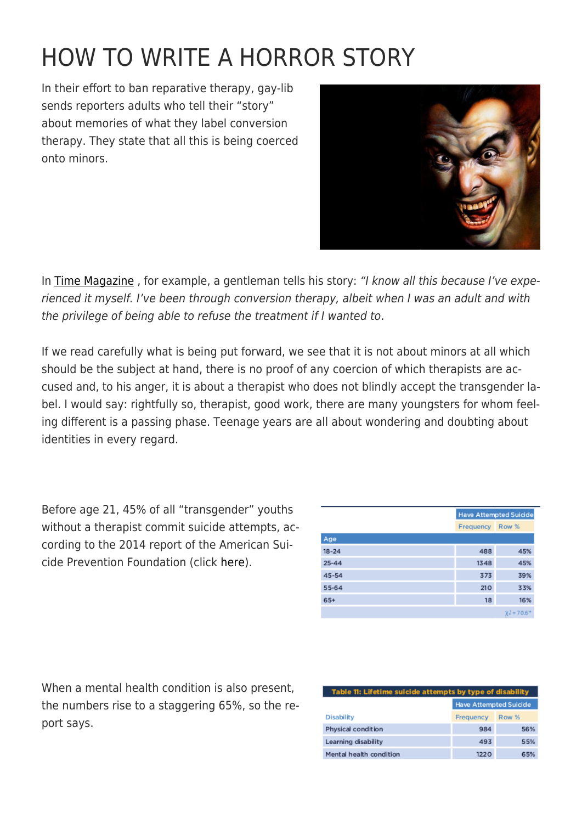## [HOW TO WRITE A HORROR STORY](https://exgaycalling.com/2016/02/02/how-to-invent-a-horror-story/)

In their effort to ban reparative therapy, gay-lib sends reporters adults who tell their "story" about memories of what they label conversion therapy. They state that all this is being coerced onto minors.



In [Time Magazine](http://time.com/3655718/leelah-alcorn-suicide-transgender-therapy/), for example, a gentleman tells his story: "I know all this because I've experienced it myself. I've been through conversion therapy, albeit when I was an adult and with the privilege of being able to refuse the treatment if I wanted to.

If we read carefully what is being put forward, we see that it is not about minors at all which should be the subject at hand, there is no proof of any coercion of which therapists are accused and, to his anger, it is about a therapist who does not blindly accept the transgender label. I would say: rightfully so, therapist, good work, there are many youngsters for whom feeling different is a passing phase. Teenage years are all about wondering and doubting about identities in every regard.

Before age 21, 45% of all "transgender" youths without a therapist commit suicide attempts, according to the 2014 report of the American Suicide Prevention Foundation (click [here](http://williamsinstitute.law.ucla.edu/wp-content/uploads/AFSP-Williams-Suicide-Report-Final.pdf)).

|           |           | <b>Have Attempted Suicide</b> |  |
|-----------|-----------|-------------------------------|--|
|           | Frequency | Row %                         |  |
|           |           |                               |  |
|           | 488       | 45%                           |  |
| $25 - 44$ | 1348      | 45%                           |  |
|           | 373       | 39%                           |  |
| 55-64     | 210       | 33%                           |  |
| 65+       | 18        | 16%                           |  |
|           |           | $X^2 = 70.6$ <sup>*</sup>     |  |

When a mental health condition is also present, the numbers rise to a staggering 65%, so the report says.

| Table 11: Lifetime suicide attempts by type of disability |                               |       |  |
|-----------------------------------------------------------|-------------------------------|-------|--|
|                                                           | <b>Have Attempted Suicide</b> |       |  |
| <b>Disability</b>                                         | Frequency                     | Row % |  |
| Physical condition                                        | 984                           | 56%   |  |
| Learning disability                                       | 493                           | 55%   |  |
| Mental health condition                                   | 1220                          | 65%   |  |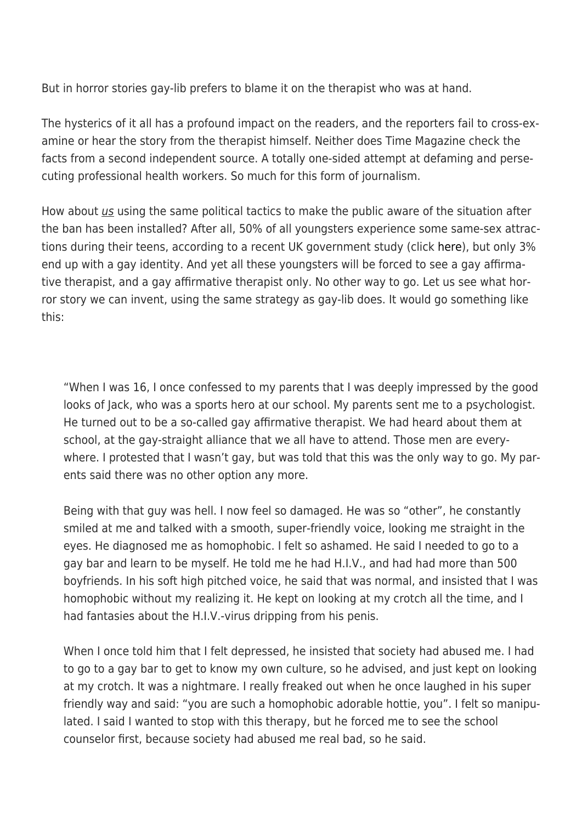But in horror stories gay-lib prefers to blame it on the therapist who was at hand.

The hysterics of it all has a profound impact on the readers, and the reporters fail to cross-examine or hear the story from the therapist himself. Neither does Time Magazine check the facts from a second independent source. A totally one-sided attempt at defaming and persecuting professional health workers. So much for this form of journalism.

How about us using the same political tactics to make the public aware of the situation after the ban has been installed? After all, 50% of all youngsters experience some same-sex attractions during their teens, according to a recent UK government study (click [here\)](https://yougov.co.uk/news/2015/08/16/half-young-not-heterosexual/), but only 3% end up with a gay identity. And yet all these youngsters will be forced to see a gay affirmative therapist, and a gay affirmative therapist only. No other way to go. Let us see what horror story we can invent, using the same strategy as gay-lib does. It would go something like this:

"When I was 16, I once confessed to my parents that I was deeply impressed by the good looks of Jack, who was a sports hero at our school. My parents sent me to a psychologist. He turned out to be a so-called gay affirmative therapist. We had heard about them at school, at the gay-straight alliance that we all have to attend. Those men are everywhere. I protested that I wasn't gay, but was told that this was the only way to go. My parents said there was no other option any more.

Being with that guy was hell. I now feel so damaged. He was so "other", he constantly smiled at me and talked with a smooth, super-friendly voice, looking me straight in the eyes. He diagnosed me as homophobic. I felt so ashamed. He said I needed to go to a gay bar and learn to be myself. He told me he had H.I.V., and had had more than 500 boyfriends. In his soft high pitched voice, he said that was normal, and insisted that I was homophobic without my realizing it. He kept on looking at my crotch all the time, and I had fantasies about the H.I.V.-virus dripping from his penis.

When I once told him that I felt depressed, he insisted that society had abused me. I had to go to a gay bar to get to know my own culture, so he advised, and just kept on looking at my crotch. It was a nightmare. I really freaked out when he once laughed in his super friendly way and said: "you are such a homophobic adorable hottie, you". I felt so manipulated. I said I wanted to stop with this therapy, but he forced me to see the school counselor first, because society had abused me real bad, so he said.